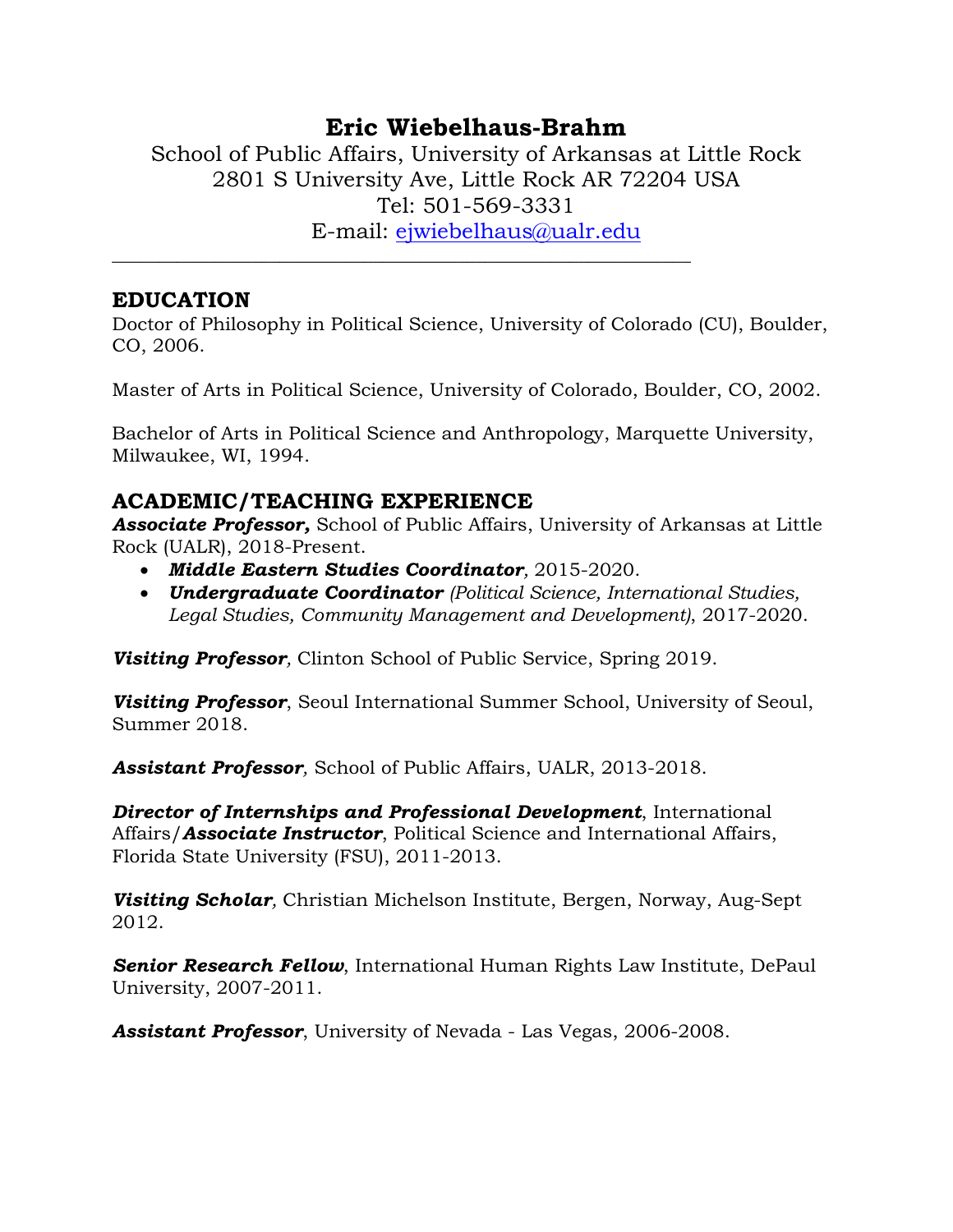# **Eric Wiebelhaus-Brahm**

School of Public Affairs, University of Arkansas at Little Rock 2801 S University Ave, Little Rock AR 72204 USA Tel: 501-569-3331 E-mail: [ejwiebelhaus@ualr.edu](mailto:ejwiebelhaus@ualr.edu)

### **EDUCATION**

Doctor of Philosophy in Political Science, University of Colorado (CU), Boulder, CO, 2006.

Master of Arts in Political Science, University of Colorado, Boulder, CO, 2002.

Bachelor of Arts in Political Science and Anthropology, Marquette University, Milwaukee, WI, 1994.

## **ACADEMIC/TEACHING EXPERIENCE**

*Associate Professor,* School of Public Affairs, University of Arkansas at Little Rock (UALR), 2018-Present.

• *Middle Eastern Studies Coordinator,* 2015-2020.

**\_\_\_\_\_\_\_\_\_\_\_\_\_\_\_\_\_\_\_\_\_\_\_\_\_\_\_\_\_\_\_\_\_\_\_\_\_\_\_\_\_\_\_\_\_\_\_\_\_\_\_\_\_\_\_\_\_\_\_\_\_\_**

• *Undergraduate Coordinator (Political Science, International Studies, Legal Studies, Community Management and Development)*, 2017-2020.

*Visiting Professor,* Clinton School of Public Service, Spring 2019.

*Visiting Professor*, Seoul International Summer School, University of Seoul, Summer 2018.

*Assistant Professor,* School of Public Affairs, UALR, 2013-2018.

*Director of Internships and Professional Development*, International Affairs/*Associate Instructor*, Political Science and International Affairs, Florida State University (FSU), 2011-2013.

*Visiting Scholar,* Christian Michelson Institute, Bergen, Norway, Aug-Sept 2012.

*Senior Research Fellow*, International Human Rights Law Institute, DePaul University, 2007-2011.

*Assistant Professor*, University of Nevada - Las Vegas, 2006-2008.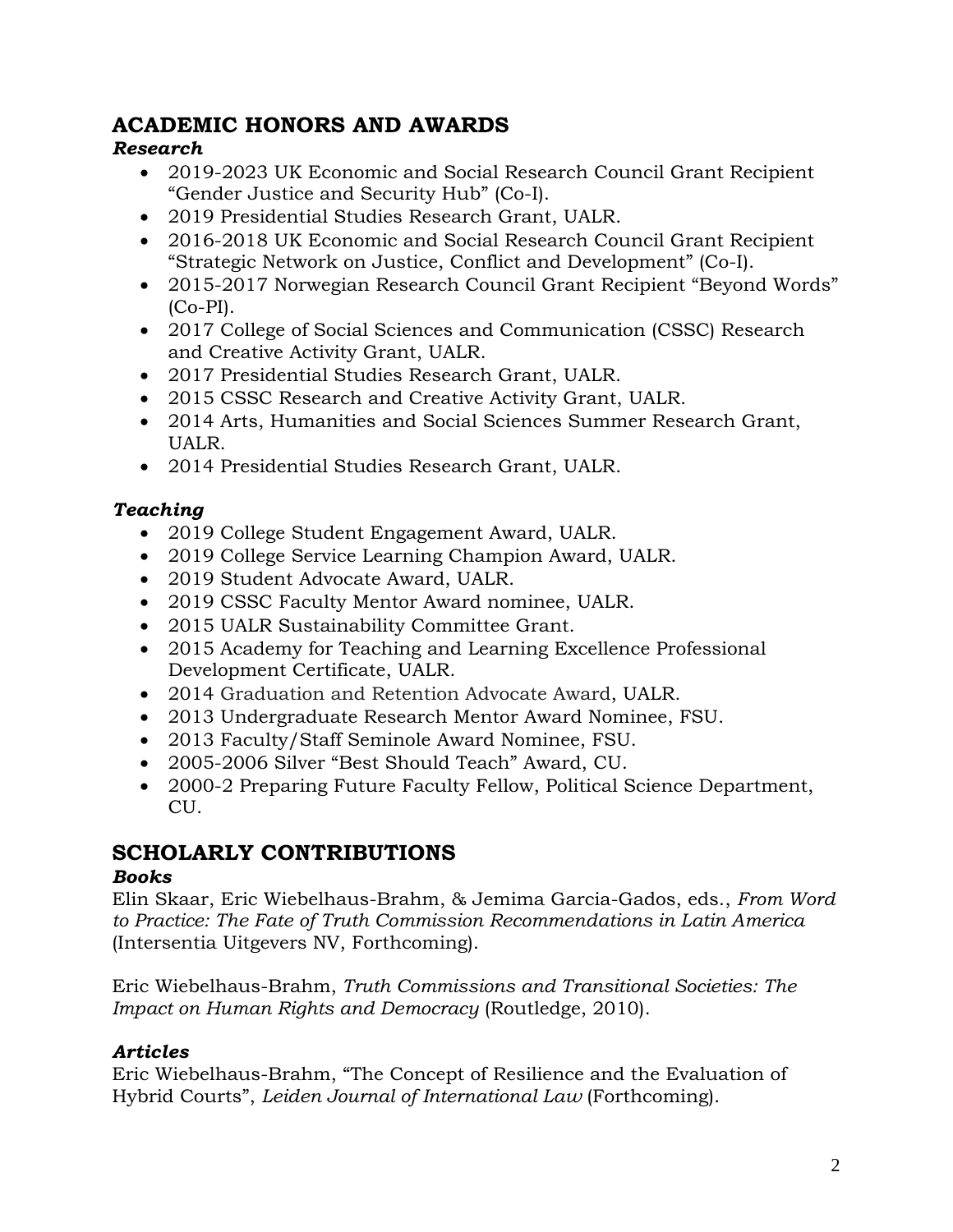## **ACADEMIC HONORS AND AWARDS**

### *Research*

- 2019-2023 UK Economic and Social Research Council Grant Recipient "Gender Justice and Security Hub" (Co-I).
- 2019 Presidential Studies Research Grant, UALR.
- 2016-2018 UK Economic and Social Research Council Grant Recipient "Strategic Network on Justice, Conflict and Development" (Co-I).
- 2015-2017 Norwegian Research Council Grant Recipient "Beyond Words" (Co-PI).
- 2017 College of Social Sciences and Communication (CSSC) Research and Creative Activity Grant, UALR.
- 2017 Presidential Studies Research Grant, UALR.
- 2015 CSSC Research and Creative Activity Grant, UALR.
- 2014 Arts, Humanities and Social Sciences Summer Research Grant, UALR.
- 2014 Presidential Studies Research Grant, UALR.

## *Teaching*

- 2019 College Student Engagement Award, UALR.
- 2019 College Service Learning Champion Award, UALR.
- 2019 Student Advocate Award, UALR.
- 2019 CSSC Faculty Mentor Award nominee, UALR.
- 2015 UALR Sustainability Committee Grant.
- 2015 Academy for Teaching and Learning Excellence Professional Development Certificate, UALR.
- 2014 Graduation and Retention Advocate Award, UALR.
- 2013 Undergraduate Research Mentor Award Nominee, FSU.
- 2013 Faculty/Staff Seminole Award Nominee, FSU.
- 2005-2006 Silver "Best Should Teach" Award, CU.
- 2000-2 Preparing Future Faculty Fellow, Political Science Department, CU.

# **SCHOLARLY CONTRIBUTIONS**

### *Books*

Elin Skaar, Eric Wiebelhaus-Brahm, & Jemima Garcia-Gados, eds., *From Word to Practice: The Fate of Truth Commission Recommendations in Latin America* (Intersentia Uitgevers NV, Forthcoming).

Eric Wiebelhaus-Brahm, *Truth Commissions and Transitional Societies: The Impact on Human Rights and Democracy* (Routledge, 2010).

### *Articles*

Eric Wiebelhaus-Brahm, "The Concept of Resilience and the Evaluation of Hybrid Courts", *Leiden Journal of International Law* (Forthcoming).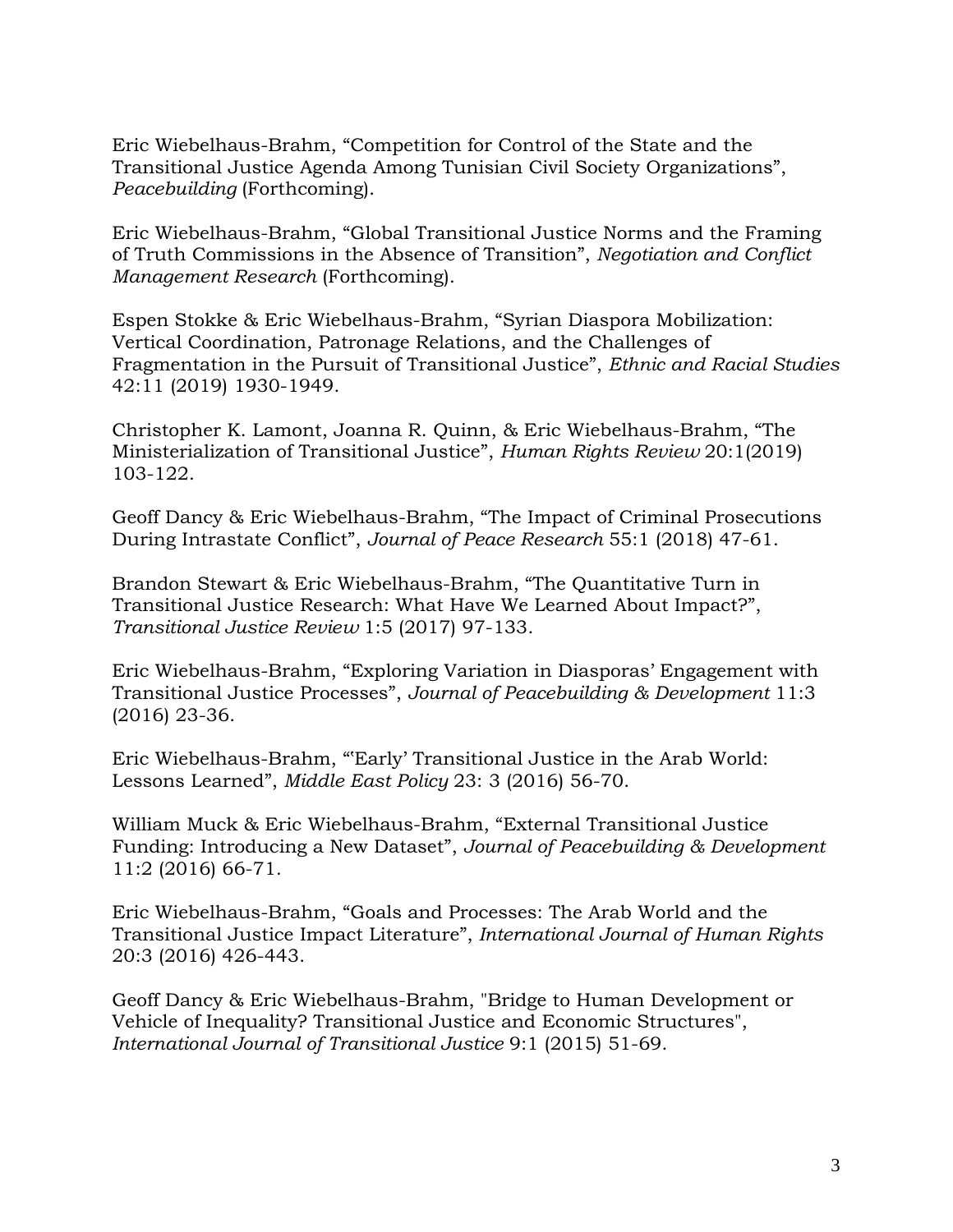Eric Wiebelhaus-Brahm, "Competition for Control of the State and the Transitional Justice Agenda Among Tunisian Civil Society Organizations", *Peacebuilding* (Forthcoming).

Eric Wiebelhaus-Brahm, "Global Transitional Justice Norms and the Framing of Truth Commissions in the Absence of Transition", *Negotiation and Conflict Management Research* (Forthcoming).

Espen Stokke & Eric Wiebelhaus-Brahm, "Syrian Diaspora Mobilization: Vertical Coordination, Patronage Relations, and the Challenges of Fragmentation in the Pursuit of Transitional Justice", *Ethnic and Racial Studies* 42:11 (2019) 1930-1949.

Christopher K. Lamont, Joanna R. Quinn, & Eric Wiebelhaus-Brahm, "The Ministerialization of Transitional Justice", *Human Rights Review* 20:1(2019) 103-122.

Geoff Dancy & Eric Wiebelhaus-Brahm, "The Impact of Criminal Prosecutions During Intrastate Conflict", *Journal of Peace Research* 55:1 (2018) 47-61.

Brandon Stewart & Eric Wiebelhaus-Brahm, "The Quantitative Turn in Transitional Justice Research: What Have We Learned About Impact?", *Transitional Justice Review* 1:5 (2017) 97-133.

Eric Wiebelhaus-Brahm, "Exploring Variation in Diasporas' Engagement with Transitional Justice Processes", *Journal of Peacebuilding & Development* 11:3 (2016) 23-36.

Eric Wiebelhaus-Brahm, "'Early' Transitional Justice in the Arab World: Lessons Learned", *Middle East Policy* 23: 3 (2016) 56-70.

William Muck & Eric Wiebelhaus-Brahm, "External Transitional Justice Funding: Introducing a New Dataset", *Journal of Peacebuilding & Development* 11:2 (2016) 66-71.

Eric Wiebelhaus-Brahm, "Goals and Processes: The Arab World and the Transitional Justice Impact Literature", *International Journal of Human Rights*  20:3 (2016) 426-443.

Geoff Dancy & Eric Wiebelhaus-Brahm, "Bridge to Human Development or Vehicle of Inequality? Transitional Justice and Economic Structures", *International Journal of Transitional Justice* 9:1 (2015) 51-69.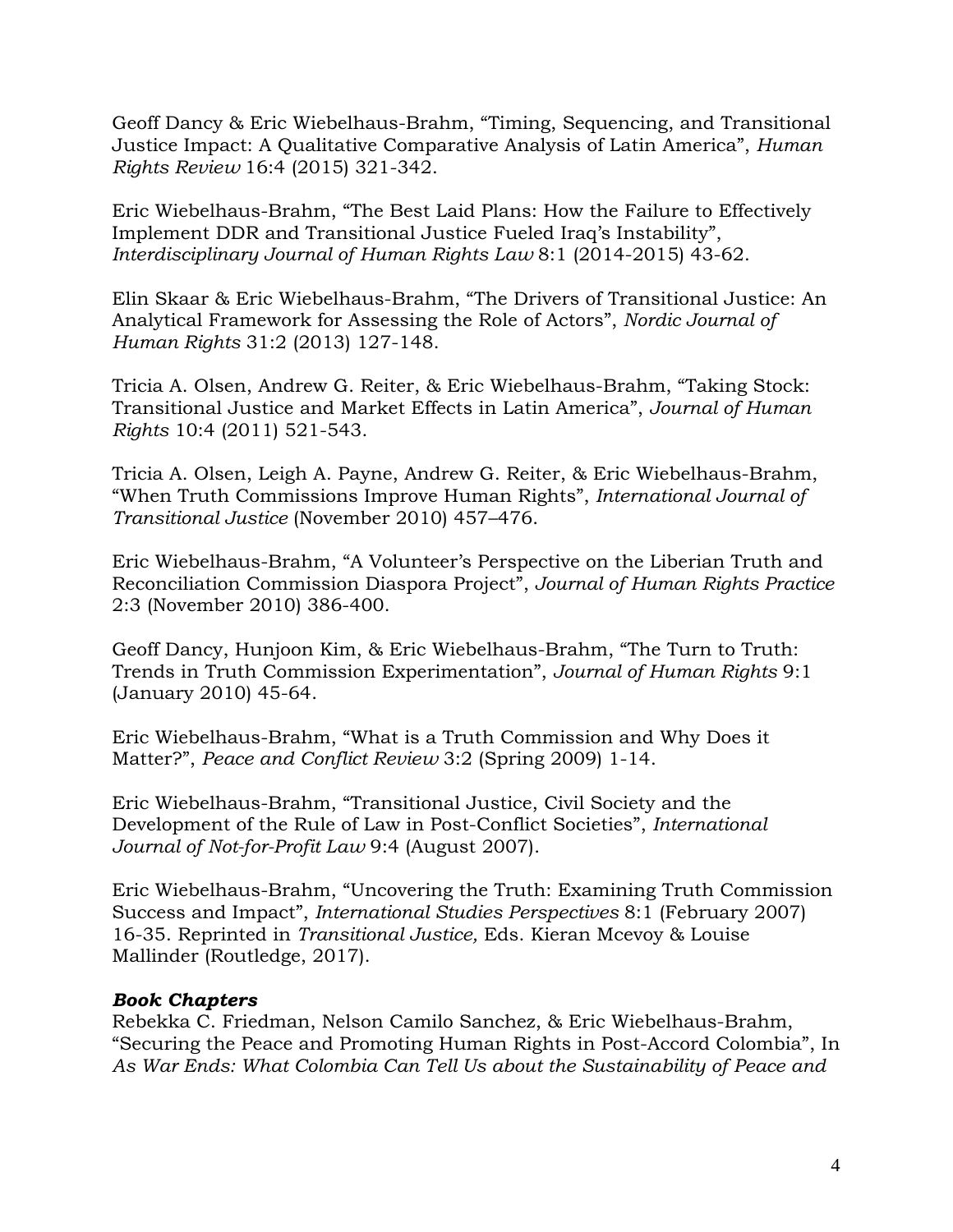Geoff Dancy & Eric Wiebelhaus-Brahm, "Timing, Sequencing, and Transitional Justice Impact: A Qualitative Comparative Analysis of Latin America", *Human Rights Review* 16:4 (2015) 321-342.

Eric Wiebelhaus-Brahm, "The Best Laid Plans: How the Failure to Effectively Implement DDR and Transitional Justice Fueled Iraq's Instability", *Interdisciplinary Journal of Human Rights Law* 8:1 (2014-2015) 43-62.

Elin Skaar & Eric Wiebelhaus-Brahm, "The Drivers of Transitional Justice: An Analytical Framework for Assessing the Role of Actors", *Nordic Journal of Human Rights* 31:2 (2013) 127-148.

Tricia A. Olsen, Andrew G. Reiter, & Eric Wiebelhaus-Brahm, "Taking Stock: Transitional Justice and Market Effects in Latin America", *Journal of Human Rights* 10:4 (2011) 521-543.

Tricia A. Olsen, Leigh A. Payne, Andrew G. Reiter, & Eric Wiebelhaus-Brahm, "When Truth Commissions Improve Human Rights", *International Journal of Transitional Justice* (November 2010) 457–476.

Eric Wiebelhaus-Brahm, "A Volunteer's Perspective on the Liberian Truth and Reconciliation Commission Diaspora Project", *Journal of Human Rights Practice*  2:3 (November 2010) 386-400.

Geoff Dancy, Hunjoon Kim, & Eric Wiebelhaus-Brahm, "The Turn to Truth: Trends in Truth Commission Experimentation", *Journal of Human Rights* 9:1 (January 2010) 45-64.

Eric Wiebelhaus-Brahm, "What is a Truth Commission and Why Does it Matter?", *Peace and Conflict Review* 3:2 (Spring 2009) 1-14.

Eric Wiebelhaus-Brahm, "Transitional Justice, Civil Society and the Development of the Rule of Law in Post-Conflict Societies", *International Journal of Not-for-Profit Law* 9:4 (August 2007).

Eric Wiebelhaus-Brahm, "Uncovering the Truth: Examining Truth Commission Success and Impact", *International Studies Perspectives* 8:1 (February 2007) 16-35. Reprinted in *Transitional Justice,* Eds. Kieran Mcevoy & Louise Mallinder (Routledge, 2017).

### *Book Chapters*

Rebekka C. Friedman, Nelson Camilo Sanchez, & Eric Wiebelhaus-Brahm, "Securing the Peace and Promoting Human Rights in Post-Accord Colombia", In *As War Ends: What Colombia Can Tell Us about the Sustainability of Peace and*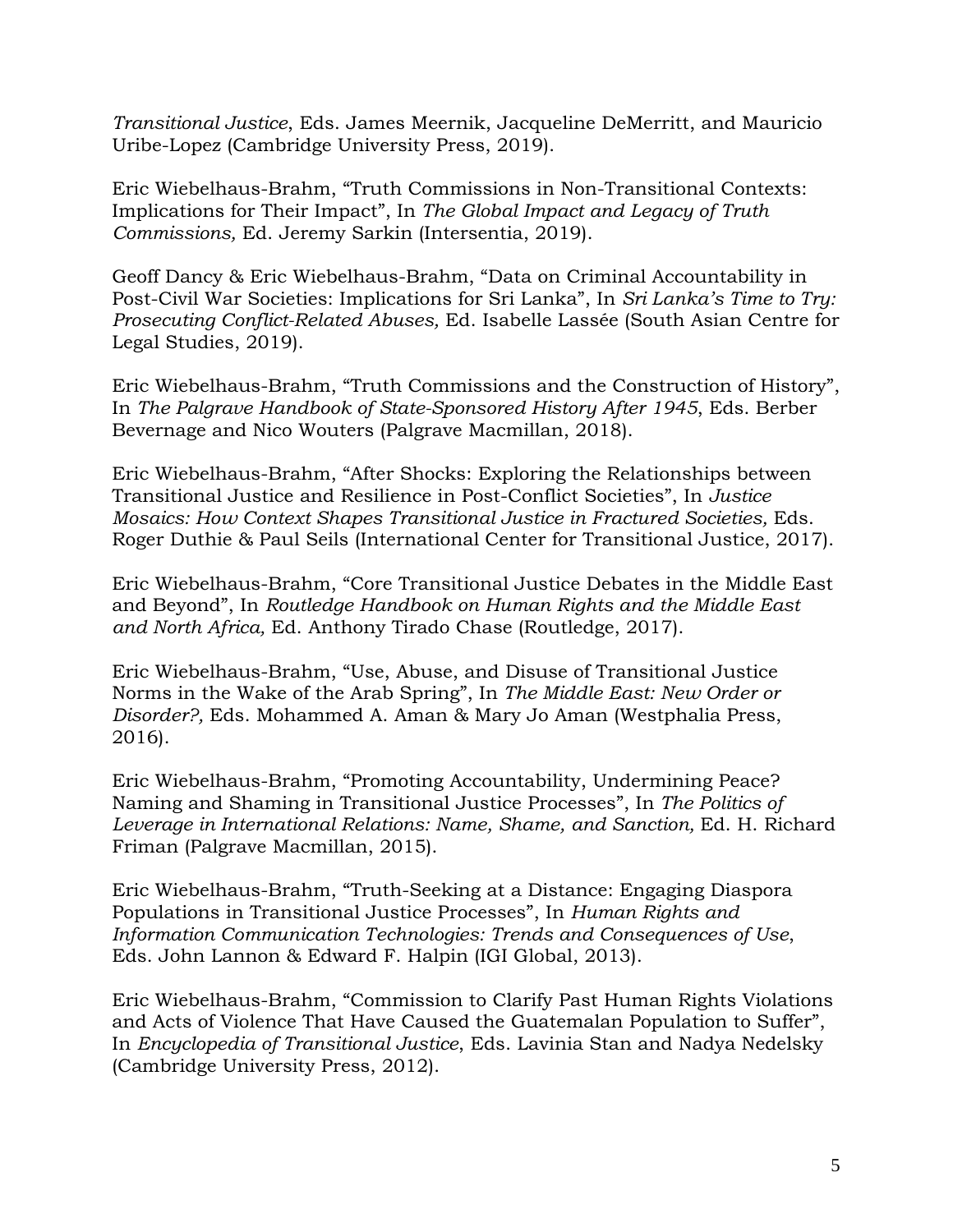*Transitional Justice*, Eds. James Meernik, Jacqueline DeMerritt, and Mauricio Uribe-Lopez (Cambridge University Press, 2019).

Eric Wiebelhaus-Brahm, "Truth Commissions in Non-Transitional Contexts: Implications for Their Impact", In *The Global Impact and Legacy of Truth Commissions,* Ed. Jeremy Sarkin (Intersentia, 2019).

Geoff Dancy & Eric Wiebelhaus-Brahm, "Data on Criminal Accountability in Post-Civil War Societies: Implications for Sri Lanka", In *Sri Lanka's Time to Try: Prosecuting Conflict-Related Abuses,* Ed. Isabelle Lassée (South Asian Centre for Legal Studies, 2019).

Eric Wiebelhaus-Brahm, "Truth Commissions and the Construction of History", In *The Palgrave Handbook of State-Sponsored History After 1945*, Eds. Berber Bevernage and Nico Wouters (Palgrave Macmillan, 2018).

Eric Wiebelhaus-Brahm, "After Shocks: Exploring the Relationships between Transitional Justice and Resilience in Post-Conflict Societies", In *Justice Mosaics: How Context Shapes Transitional Justice in Fractured Societies,* Eds. Roger Duthie & Paul Seils (International Center for Transitional Justice, 2017).

Eric Wiebelhaus-Brahm, "Core Transitional Justice Debates in the Middle East and Beyond", In *Routledge Handbook on Human Rights and the Middle East and North Africa,* Ed. Anthony Tirado Chase (Routledge, 2017).

Eric Wiebelhaus-Brahm, "Use, Abuse, and Disuse of Transitional Justice Norms in the Wake of the Arab Spring", In *The Middle East: New Order or Disorder?,* Eds. Mohammed A. Aman & Mary Jo Aman (Westphalia Press, 2016).

Eric Wiebelhaus-Brahm, "Promoting Accountability, Undermining Peace? Naming and Shaming in Transitional Justice Processes", In *The Politics of Leverage in International Relations: Name, Shame, and Sanction,* Ed. H. Richard Friman (Palgrave Macmillan, 2015).

Eric Wiebelhaus-Brahm, "Truth-Seeking at a Distance: Engaging Diaspora Populations in Transitional Justice Processes", In *Human Rights and Information Communication Technologies: Trends and Consequences of Use*, Eds. John Lannon & Edward F. Halpin (IGI Global, 2013).

Eric Wiebelhaus-Brahm, "Commission to Clarify Past Human Rights Violations and Acts of Violence That Have Caused the Guatemalan Population to Suffer", In *Encyclopedia of Transitional Justice*, Eds. Lavinia Stan and Nadya Nedelsky (Cambridge University Press, 2012).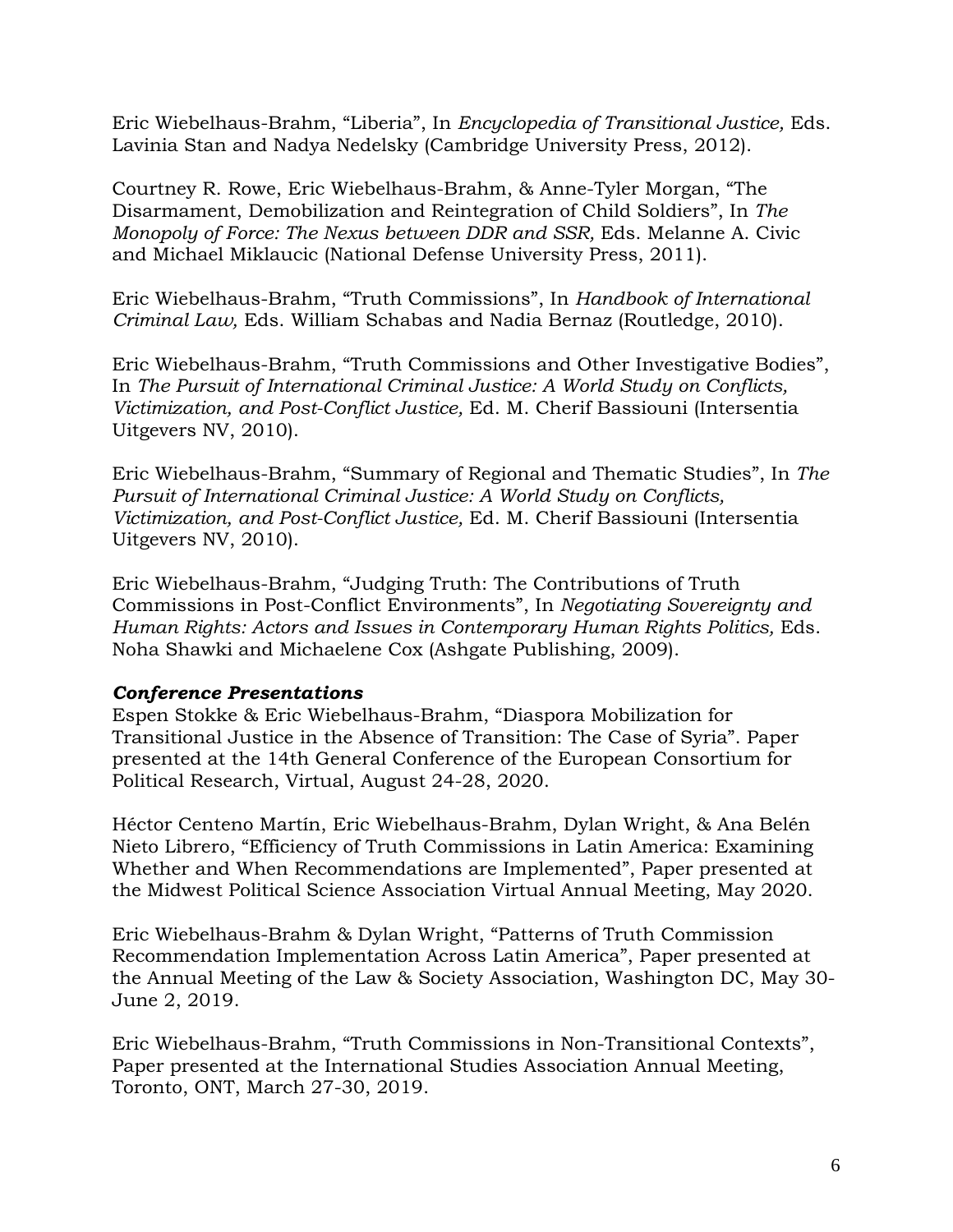Eric Wiebelhaus-Brahm, "Liberia", In *Encyclopedia of Transitional Justice,* Eds. Lavinia Stan and Nadya Nedelsky (Cambridge University Press, 2012).

Courtney R. Rowe, Eric Wiebelhaus-Brahm, & Anne-Tyler Morgan, "The Disarmament, Demobilization and Reintegration of Child Soldiers", In *The Monopoly of Force: The Nexus between DDR and SSR,* Eds. Melanne A. Civic and Michael Miklaucic (National Defense University Press, 2011).

Eric Wiebelhaus-Brahm, "Truth Commissions", In *Handbook of International Criminal Law,* Eds. William Schabas and Nadia Bernaz (Routledge, 2010).

Eric Wiebelhaus-Brahm, "Truth Commissions and Other Investigative Bodies", In *The Pursuit of International Criminal Justice: A World Study on Conflicts, Victimization, and Post-Conflict Justice,* Ed. M. Cherif Bassiouni (Intersentia Uitgevers NV, 2010).

Eric Wiebelhaus-Brahm, "Summary of Regional and Thematic Studies", In *The Pursuit of International Criminal Justice: A World Study on Conflicts, Victimization, and Post-Conflict Justice,* Ed. M. Cherif Bassiouni (Intersentia Uitgevers NV, 2010).

Eric Wiebelhaus-Brahm, "Judging Truth: The Contributions of Truth Commissions in Post-Conflict Environments", In *Negotiating Sovereignty and Human Rights: Actors and Issues in Contemporary Human Rights Politics,* Eds. Noha Shawki and Michaelene Cox (Ashgate Publishing, 2009).

### *Conference Presentations*

Espen Stokke & Eric Wiebelhaus-Brahm, "Diaspora Mobilization for Transitional Justice in the Absence of Transition: The Case of Syria". Paper presented at the 14th General Conference of the European Consortium for Political Research, Virtual, August 24-28, 2020.

Héctor Centeno Martín, Eric Wiebelhaus-Brahm, Dylan Wright, & Ana Belén Nieto Librero, "Efficiency of Truth Commissions in Latin America: Examining Whether and When Recommendations are Implemented", Paper presented at the Midwest Political Science Association Virtual Annual Meeting, May 2020.

Eric Wiebelhaus-Brahm & Dylan Wright, "Patterns of Truth Commission Recommendation Implementation Across Latin America", Paper presented at the Annual Meeting of the Law & Society Association, Washington DC, May 30- June 2, 2019.

Eric Wiebelhaus-Brahm, "Truth Commissions in Non-Transitional Contexts", Paper presented at the International Studies Association Annual Meeting, Toronto, ONT, March 27-30, 2019.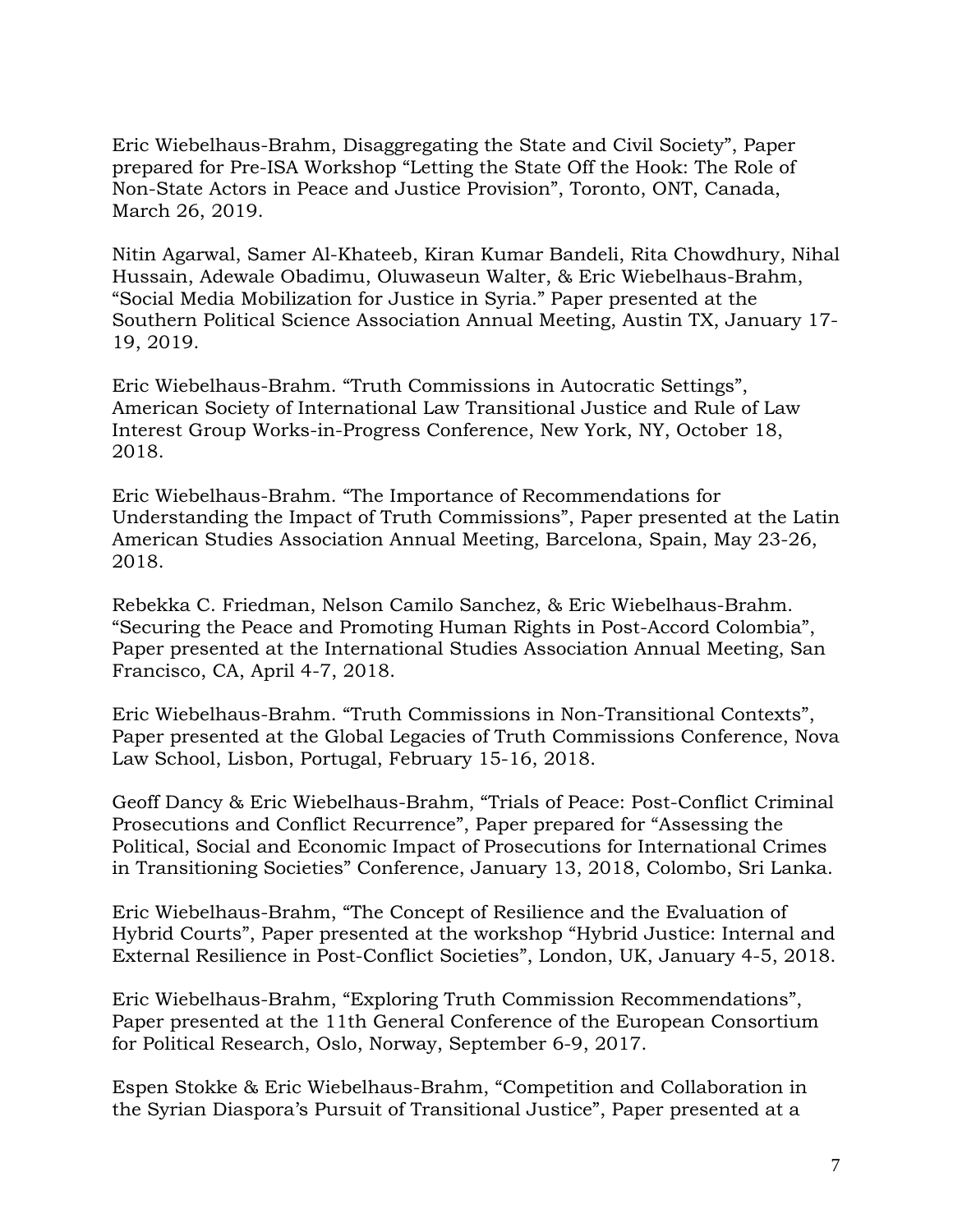Eric Wiebelhaus-Brahm, Disaggregating the State and Civil Society", Paper prepared for Pre-ISA Workshop "Letting the State Off the Hook: The Role of Non-State Actors in Peace and Justice Provision", Toronto, ONT, Canada, March 26, 2019.

Nitin Agarwal, Samer Al-Khateeb, Kiran Kumar Bandeli, Rita Chowdhury, Nihal Hussain, Adewale Obadimu, Oluwaseun Walter, & Eric Wiebelhaus-Brahm, "Social Media Mobilization for Justice in Syria." Paper presented at the Southern Political Science Association Annual Meeting, Austin TX, January 17- 19, 2019.

Eric Wiebelhaus-Brahm. "Truth Commissions in Autocratic Settings", American Society of International Law Transitional Justice and Rule of Law Interest Group Works-in-Progress Conference, New York, NY, October 18, 2018.

Eric Wiebelhaus-Brahm. "The Importance of Recommendations for Understanding the Impact of Truth Commissions", Paper presented at the Latin American Studies Association Annual Meeting, Barcelona, Spain, May 23-26, 2018.

Rebekka C. Friedman, Nelson Camilo Sanchez, & Eric Wiebelhaus-Brahm. "Securing the Peace and Promoting Human Rights in Post-Accord Colombia", Paper presented at the International Studies Association Annual Meeting, San Francisco, CA, April 4-7, 2018.

Eric Wiebelhaus-Brahm. "Truth Commissions in Non-Transitional Contexts", Paper presented at the Global Legacies of Truth Commissions Conference, Nova Law School, Lisbon, Portugal, February 15-16, 2018.

Geoff Dancy & Eric Wiebelhaus-Brahm, "Trials of Peace: Post-Conflict Criminal Prosecutions and Conflict Recurrence", Paper prepared for "Assessing the Political, Social and Economic Impact of Prosecutions for International Crimes in Transitioning Societies" Conference, January 13, 2018, Colombo, Sri Lanka.

Eric Wiebelhaus-Brahm, "The Concept of Resilience and the Evaluation of Hybrid Courts", Paper presented at the workshop "Hybrid Justice: Internal and External Resilience in Post-Conflict Societies", London, UK, January 4-5, 2018.

Eric Wiebelhaus-Brahm, "Exploring Truth Commission Recommendations", Paper presented at the 11th General Conference of the European Consortium for Political Research, Oslo, Norway, September 6-9, 2017.

Espen Stokke & Eric Wiebelhaus-Brahm, "Competition and Collaboration in the Syrian Diaspora's Pursuit of Transitional Justice", Paper presented at a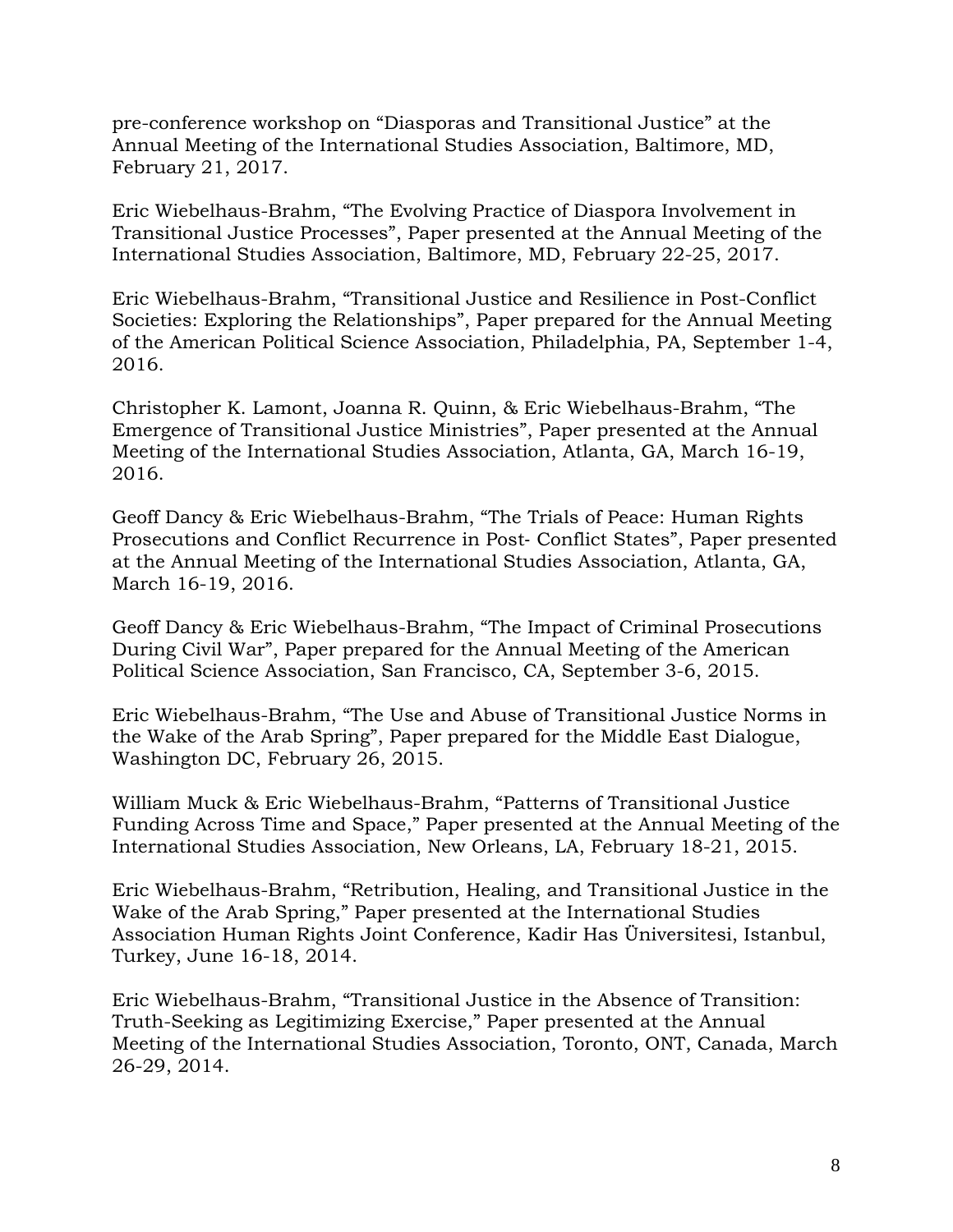pre-conference workshop on "Diasporas and Transitional Justice" at the Annual Meeting of the International Studies Association, Baltimore, MD, February 21, 2017.

Eric Wiebelhaus-Brahm, "The Evolving Practice of Diaspora Involvement in Transitional Justice Processes", Paper presented at the Annual Meeting of the International Studies Association, Baltimore, MD, February 22-25, 2017.

Eric Wiebelhaus-Brahm, "Transitional Justice and Resilience in Post-Conflict Societies: Exploring the Relationships", Paper prepared for the Annual Meeting of the American Political Science Association, Philadelphia, PA, September 1-4, 2016.

Christopher K. Lamont, Joanna R. Quinn, & Eric Wiebelhaus-Brahm, "The Emergence of Transitional Justice Ministries", Paper presented at the Annual Meeting of the International Studies Association, Atlanta, GA, March 16-19, 2016.

Geoff Dancy & Eric Wiebelhaus-Brahm, "The Trials of Peace: Human Rights Prosecutions and Conflict Recurrence in Post‐ Conflict States", Paper presented at the Annual Meeting of the International Studies Association, Atlanta, GA, March 16-19, 2016.

Geoff Dancy & Eric Wiebelhaus-Brahm, "The Impact of Criminal Prosecutions During Civil War", Paper prepared for the Annual Meeting of the American Political Science Association, San Francisco, CA, September 3-6, 2015.

Eric Wiebelhaus-Brahm, "The Use and Abuse of Transitional Justice Norms in the Wake of the Arab Spring", Paper prepared for the Middle East Dialogue, Washington DC, February 26, 2015.

William Muck & Eric Wiebelhaus-Brahm, "Patterns of Transitional Justice Funding Across Time and Space," Paper presented at the Annual Meeting of the International Studies Association, New Orleans, LA, February 18-21, 2015.

Eric Wiebelhaus-Brahm, "Retribution, Healing, and Transitional Justice in the Wake of the Arab Spring," Paper presented at the International Studies Association Human Rights Joint Conference, Kadir Has Üniversitesi, Istanbul, Turkey, June 16-18, 2014.

Eric Wiebelhaus-Brahm, "Transitional Justice in the Absence of Transition: Truth-Seeking as Legitimizing Exercise," Paper presented at the Annual Meeting of the International Studies Association, Toronto, ONT, Canada, March 26-29, 2014.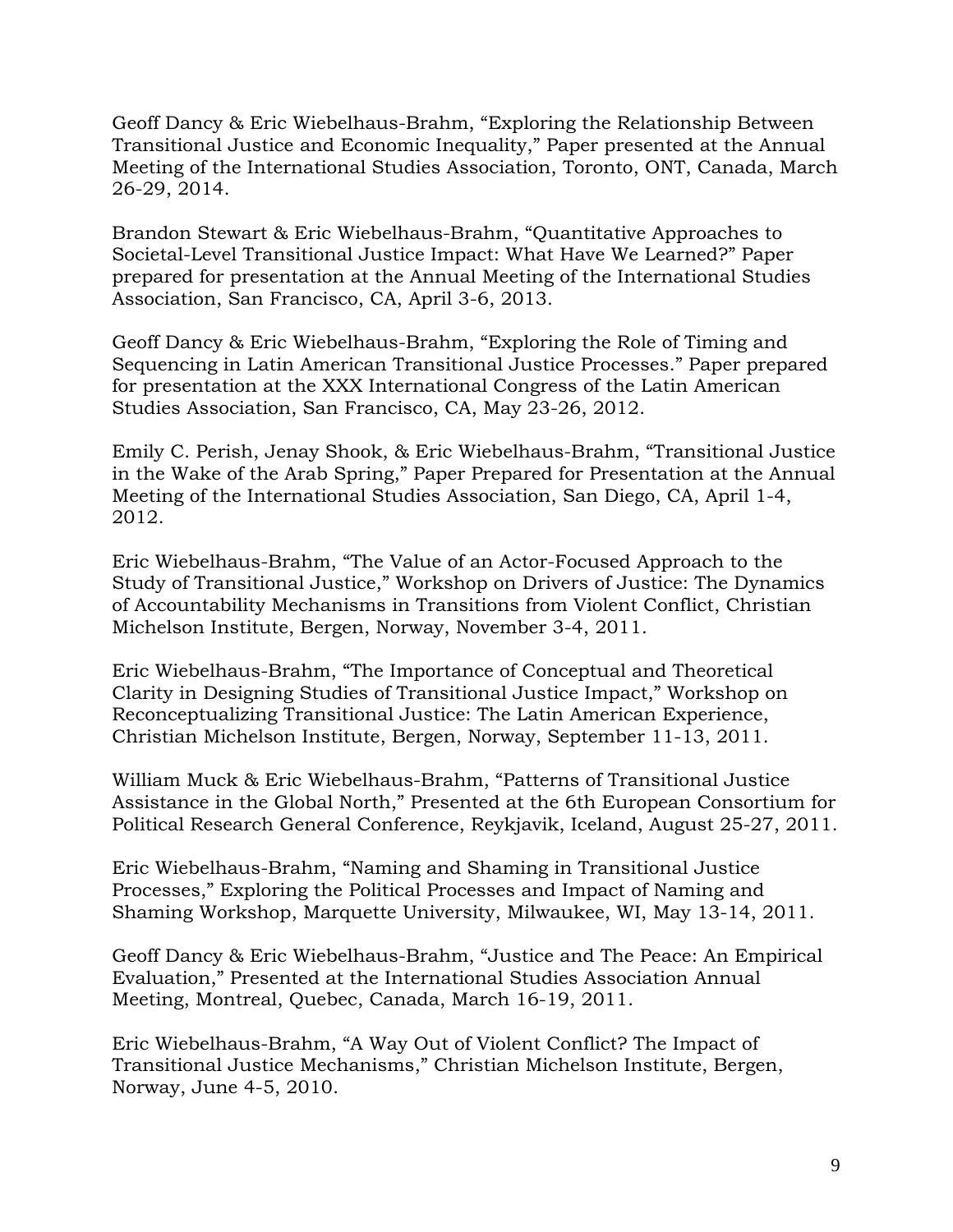Geoff Dancy & Eric Wiebelhaus-Brahm, "Exploring the Relationship Between Transitional Justice and Economic Inequality," Paper presented at the Annual Meeting of the International Studies Association, Toronto, ONT, Canada, March 26-29, 2014.

Brandon Stewart & Eric Wiebelhaus-Brahm, "Quantitative Approaches to Societal-Level Transitional Justice Impact: What Have We Learned?" Paper prepared for presentation at the Annual Meeting of the International Studies Association, San Francisco, CA, April 3-6, 2013.

Geoff Dancy & Eric Wiebelhaus-Brahm, "Exploring the Role of Timing and Sequencing in Latin American Transitional Justice Processes." Paper prepared for presentation at the XXX International Congress of the Latin American Studies Association, San Francisco, CA, May 23-26, 2012.

Emily C. Perish, Jenay Shook, & Eric Wiebelhaus-Brahm, "Transitional Justice in the Wake of the Arab Spring," Paper Prepared for Presentation at the Annual Meeting of the International Studies Association, San Diego, CA, April 1-4, 2012.

Eric Wiebelhaus-Brahm, "The Value of an Actor-Focused Approach to the Study of Transitional Justice," Workshop on Drivers of Justice: The Dynamics of Accountability Mechanisms in Transitions from Violent Conflict, Christian Michelson Institute, Bergen, Norway, November 3-4, 2011.

Eric Wiebelhaus-Brahm, "The Importance of Conceptual and Theoretical Clarity in Designing Studies of Transitional Justice Impact," Workshop on Reconceptualizing Transitional Justice: The Latin American Experience, Christian Michelson Institute, Bergen, Norway, September 11-13, 2011.

William Muck & Eric Wiebelhaus-Brahm, "Patterns of Transitional Justice Assistance in the Global North," Presented at the 6th European Consortium for Political Research General Conference, Reykjavik, Iceland, August 25-27, 2011.

Eric Wiebelhaus-Brahm, "Naming and Shaming in Transitional Justice Processes," Exploring the Political Processes and Impact of Naming and Shaming Workshop, Marquette University, Milwaukee, WI, May 13-14, 2011.

Geoff Dancy & Eric Wiebelhaus-Brahm, "Justice and The Peace: An Empirical Evaluation," Presented at the International Studies Association Annual Meeting, Montreal, Quebec, Canada, March 16-19, 2011.

Eric Wiebelhaus-Brahm, "A Way Out of Violent Conflict? The Impact of Transitional Justice Mechanisms," Christian Michelson Institute, Bergen, Norway, June 4-5, 2010.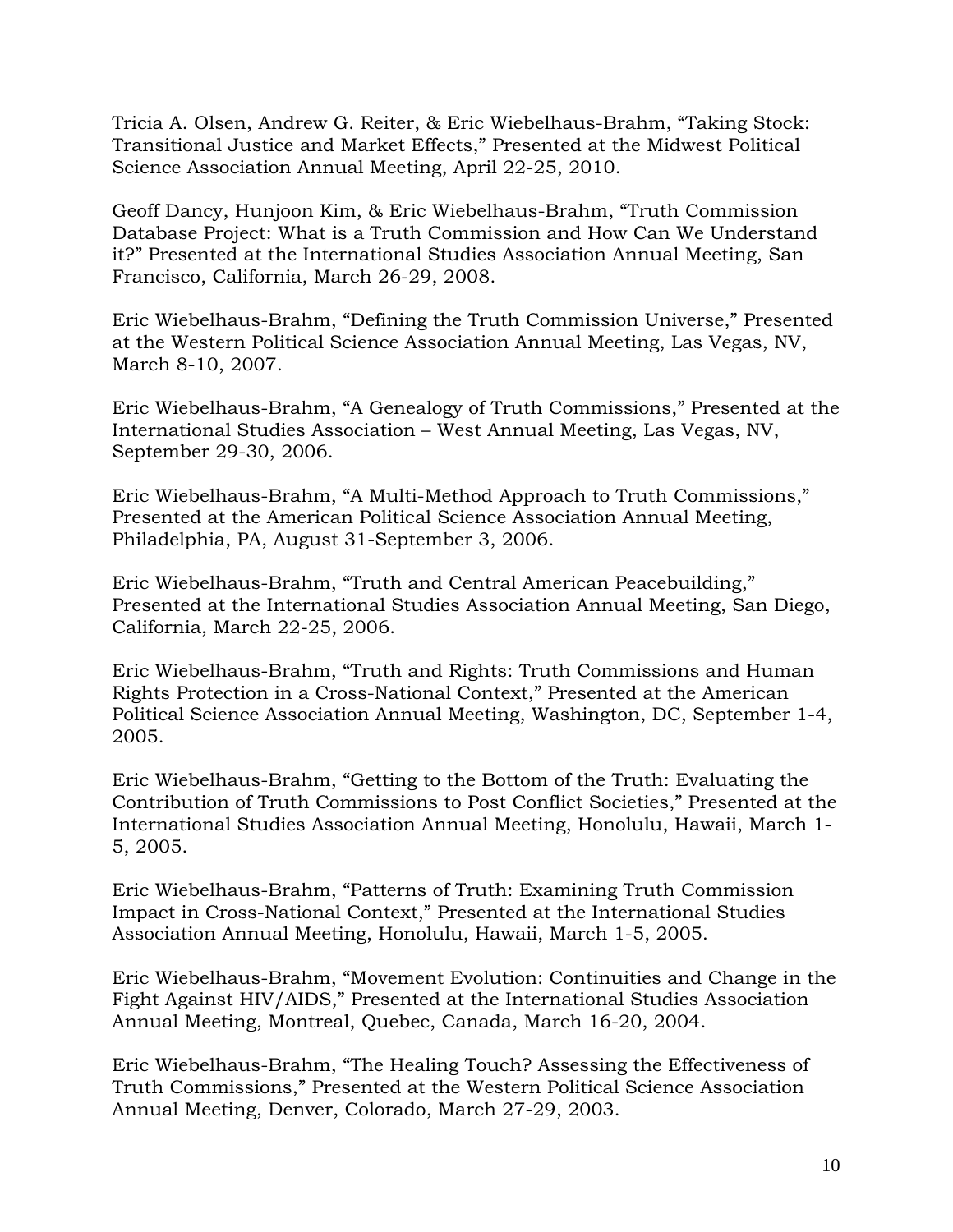Tricia A. Olsen, Andrew G. Reiter, & Eric Wiebelhaus-Brahm, "Taking Stock: Transitional Justice and Market Effects," Presented at the Midwest Political Science Association Annual Meeting, April 22-25, 2010.

Geoff Dancy, Hunjoon Kim, & Eric Wiebelhaus-Brahm, "Truth Commission Database Project: What is a Truth Commission and How Can We Understand it?" Presented at the International Studies Association Annual Meeting, San Francisco, California, March 26-29, 2008.

Eric Wiebelhaus-Brahm, "Defining the Truth Commission Universe," Presented at the Western Political Science Association Annual Meeting, Las Vegas, NV, March 8-10, 2007.

Eric Wiebelhaus-Brahm, "A Genealogy of Truth Commissions," Presented at the International Studies Association – West Annual Meeting, Las Vegas, NV, September 29-30, 2006.

Eric Wiebelhaus-Brahm, "A Multi-Method Approach to Truth Commissions," Presented at the American Political Science Association Annual Meeting, Philadelphia, PA, August 31-September 3, 2006.

Eric Wiebelhaus-Brahm, "Truth and Central American Peacebuilding," Presented at the International Studies Association Annual Meeting, San Diego, California, March 22-25, 2006.

Eric Wiebelhaus-Brahm, "Truth and Rights: Truth Commissions and Human Rights Protection in a Cross-National Context," Presented at the American Political Science Association Annual Meeting, Washington, DC, September 1-4, 2005.

Eric Wiebelhaus-Brahm, "Getting to the Bottom of the Truth: Evaluating the Contribution of Truth Commissions to Post Conflict Societies," Presented at the International Studies Association Annual Meeting, Honolulu, Hawaii, March 1- 5, 2005.

Eric Wiebelhaus-Brahm, "Patterns of Truth: Examining Truth Commission Impact in Cross-National Context," Presented at the International Studies Association Annual Meeting, Honolulu, Hawaii, March 1-5, 2005.

Eric Wiebelhaus-Brahm, "Movement Evolution: Continuities and Change in the Fight Against HIV/AIDS," Presented at the International Studies Association Annual Meeting, Montreal, Quebec, Canada, March 16-20, 2004.

Eric Wiebelhaus-Brahm, "The Healing Touch? Assessing the Effectiveness of Truth Commissions," Presented at the Western Political Science Association Annual Meeting, Denver, Colorado, March 27-29, 2003.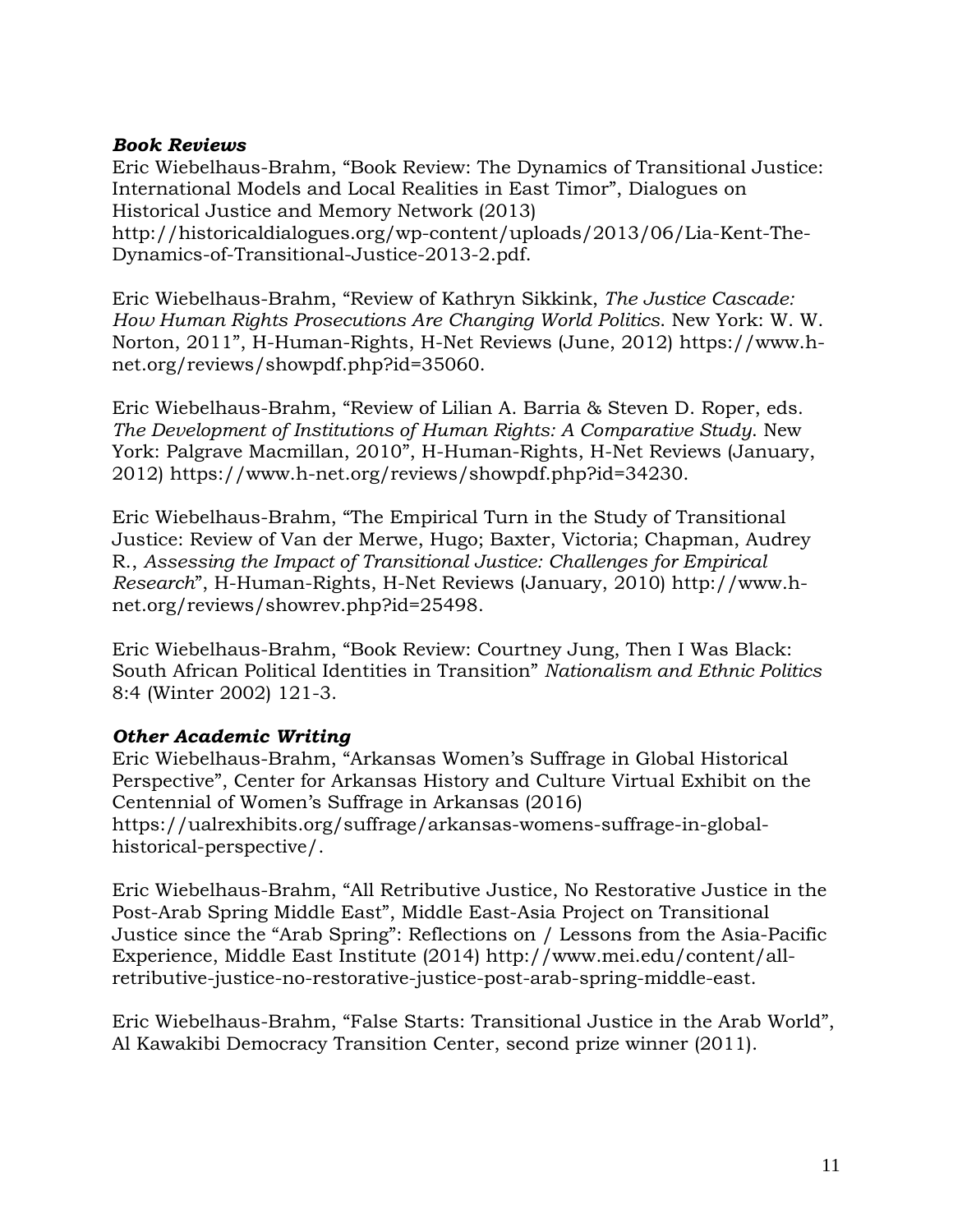#### *Book Reviews*

Eric Wiebelhaus-Brahm, "Book Review: The Dynamics of Transitional Justice: International Models and Local Realities in East Timor", Dialogues on Historical Justice and Memory Network (2013) http://historicaldialogues.org/wp-content/uploads/2013/06/Lia-Kent-The-Dynamics-of-Transitional-Justice-2013-2.pdf.

Eric Wiebelhaus-Brahm, "Review of Kathryn Sikkink, *The Justice Cascade: How Human Rights Prosecutions Are Changing World Politics*. New York: W. W. Norton, 2011", H-Human-Rights, H-Net Reviews (June, 2012) https://www.hnet.org/reviews/showpdf.php?id=35060.

Eric Wiebelhaus-Brahm, "Review of Lilian A. Barria & Steven D. Roper, eds. *The Development of Institutions of Human Rights: A Comparative Study*. New York: Palgrave Macmillan, 2010", H-Human-Rights, H-Net Reviews (January, 2012) https://www.h-net.org/reviews/showpdf.php?id=34230.

Eric Wiebelhaus-Brahm, "The Empirical Turn in the Study of Transitional Justice: Review of Van der Merwe, Hugo; Baxter, Victoria; Chapman, Audrey R., *Assessing the Impact of Transitional Justice: Challenges for Empirical Research*", H-Human-Rights, H-Net Reviews (January, 2010) http://www.hnet.org/reviews/showrev.php?id=25498.

Eric Wiebelhaus-Brahm, "Book Review: Courtney Jung, Then I Was Black: South African Political Identities in Transition" *Nationalism and Ethnic Politics* 8:4 (Winter 2002) 121-3.

### *Other Academic Writing*

Eric Wiebelhaus-Brahm, "Arkansas Women's Suffrage in Global Historical Perspective", Center for Arkansas History and Culture Virtual Exhibit on the Centennial of Women's Suffrage in Arkansas (2016) https://ualrexhibits.org/suffrage/arkansas-womens-suffrage-in-globalhistorical-perspective/.

Eric Wiebelhaus-Brahm, "All Retributive Justice, No Restorative Justice in the Post-Arab Spring Middle East", Middle East-Asia Project on Transitional Justice since the "Arab Spring": Reflections on / Lessons from the Asia-Pacific Experience, Middle East Institute (2014) http://www.mei.edu/content/allretributive-justice-no-restorative-justice-post-arab-spring-middle-east.

Eric Wiebelhaus-Brahm, "False Starts: Transitional Justice in the Arab World", Al Kawakibi Democracy Transition Center, second prize winner (2011).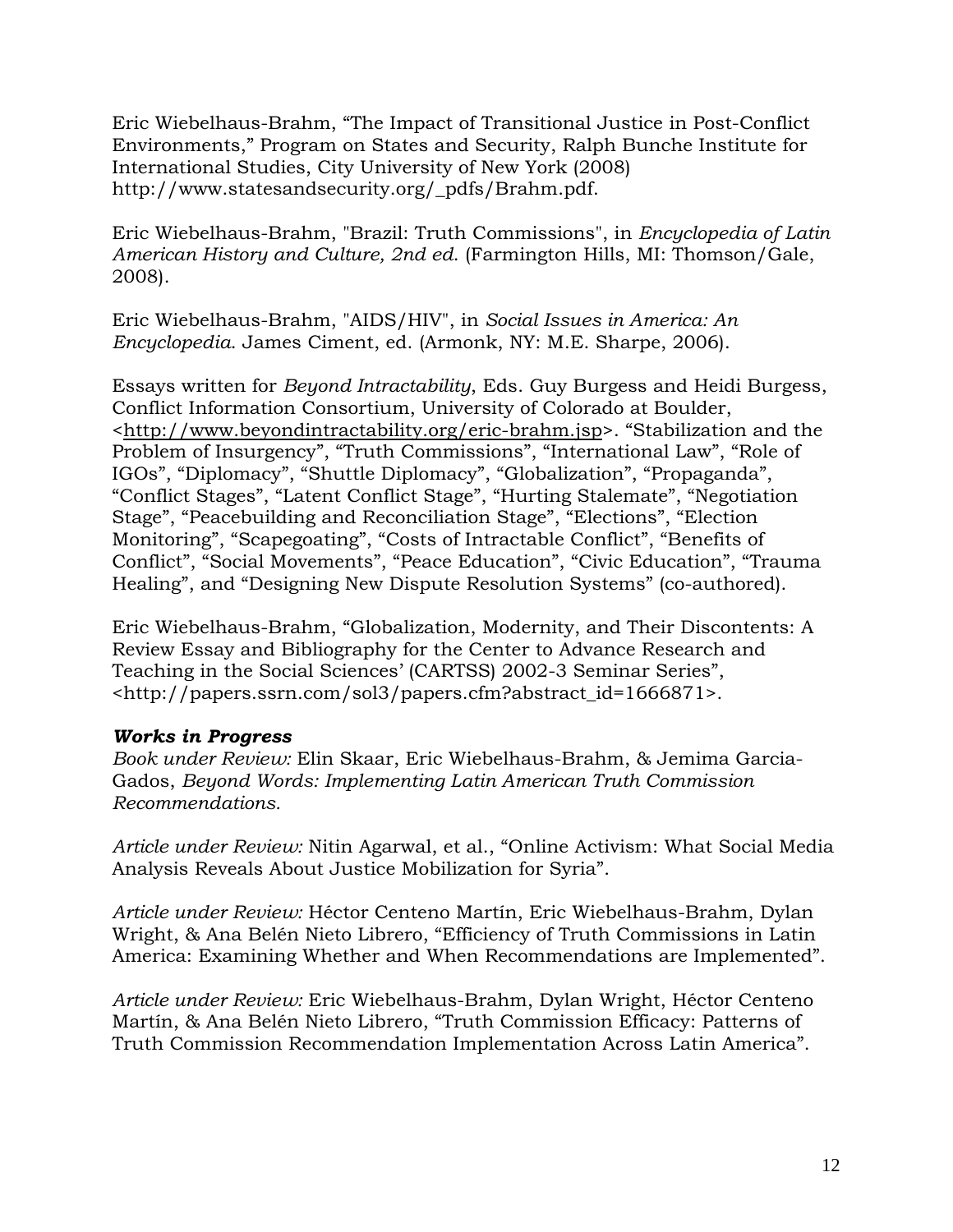Eric Wiebelhaus-Brahm, "The Impact of Transitional Justice in Post-Conflict Environments," Program on States and Security, Ralph Bunche Institute for International Studies, City University of New York (2008) http://www.statesandsecurity.org/\_pdfs/Brahm.pdf.

Eric Wiebelhaus-Brahm, "Brazil: Truth Commissions", in *Encyclopedia of Latin American History and Culture, 2nd ed*. (Farmington Hills, MI: Thomson/Gale, 2008).

Eric Wiebelhaus-Brahm, "AIDS/HIV", in *Social Issues in America: An Encyclopedia*. James Ciment, ed. (Armonk, NY: M.E. Sharpe, 2006).

Essays written for *Beyond Intractability*, Eds. Guy Burgess and Heidi Burgess, Conflict Information Consortium, University of Colorado at Boulder, [<http://www.beyondintractability.org/eric-brahm.jsp>](http://www.beyondintractability.org/eric-brahm.jsp). "Stabilization and the Problem of Insurgency", "Truth Commissions", "International Law", "Role of IGOs", "Diplomacy", "Shuttle Diplomacy", "Globalization", "Propaganda", "Conflict Stages", "Latent Conflict Stage", "Hurting Stalemate", "Negotiation Stage", "Peacebuilding and Reconciliation Stage", "Elections", "Election Monitoring", "Scapegoating", "Costs of Intractable Conflict", "Benefits of Conflict", "Social Movements", "Peace Education", "Civic Education", "Trauma Healing", and "Designing New Dispute Resolution Systems" (co-authored).

Eric Wiebelhaus-Brahm, "Globalization, Modernity, and Their Discontents: A Review Essay and Bibliography for the Center to Advance Research and Teaching in the Social Sciences' (CARTSS) 2002-3 Seminar Series", <http://papers.ssrn.com/sol3/papers.cfm?abstract\_id=1666871>.

### *Works in Progress*

*Book under Review:* Elin Skaar, Eric Wiebelhaus-Brahm, & Jemima Garcia-Gados, *Beyond Words: Implementing Latin American Truth Commission Recommendations.*

*Article under Review:* Nitin Agarwal, et al., "Online Activism: What Social Media Analysis Reveals About Justice Mobilization for Syria".

*Article under Review:* Héctor Centeno Martín, Eric Wiebelhaus-Brahm, Dylan Wright, & Ana Belén Nieto Librero, "Efficiency of Truth Commissions in Latin America: Examining Whether and When Recommendations are Implemented".

*Article under Review:* Eric Wiebelhaus-Brahm, Dylan Wright, Héctor Centeno Martín, & Ana Belén Nieto Librero, "Truth Commission Efficacy: Patterns of Truth Commission Recommendation Implementation Across Latin America".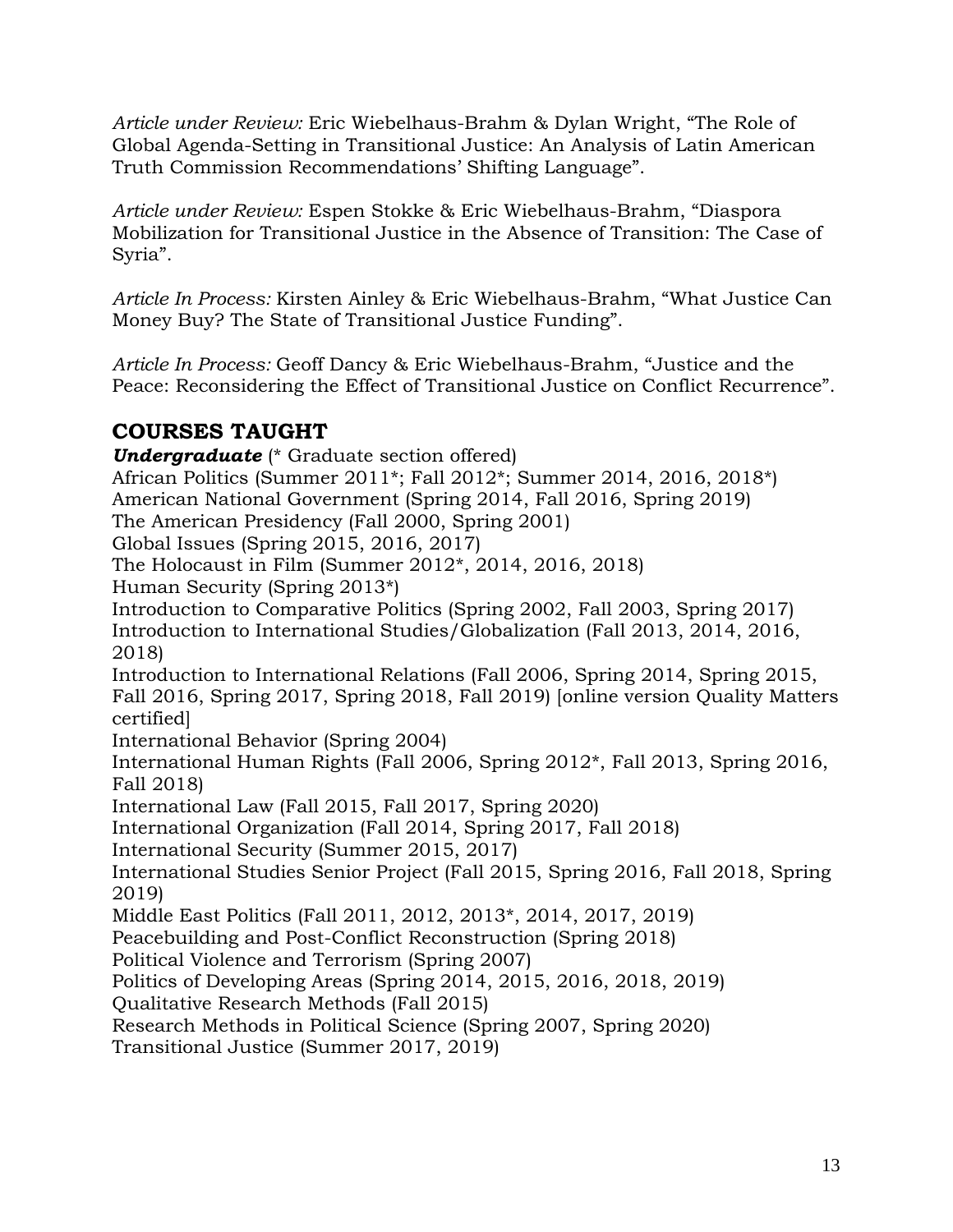*Article under Review:* Eric Wiebelhaus-Brahm & Dylan Wright, "The Role of Global Agenda-Setting in Transitional Justice: An Analysis of Latin American Truth Commission Recommendations' Shifting Language".

*Article under Review:* Espen Stokke & Eric Wiebelhaus-Brahm, "Diaspora Mobilization for Transitional Justice in the Absence of Transition: The Case of Syria".

*Article In Process:* Kirsten Ainley & Eric Wiebelhaus-Brahm, "What Justice Can Money Buy? The State of Transitional Justice Funding".

*Article In Process:* Geoff Dancy & Eric Wiebelhaus-Brahm, "Justice and the Peace: Reconsidering the Effect of Transitional Justice on Conflict Recurrence".

# **COURSES TAUGHT**

*Undergraduate* (\* Graduate section offered) African Politics (Summer 2011\*; Fall 2012\*; Summer 2014, 2016, 2018\*) American National Government (Spring 2014, Fall 2016, Spring 2019) The American Presidency (Fall 2000, Spring 2001) Global Issues (Spring 2015, 2016, 2017) The Holocaust in Film (Summer 2012\*, 2014, 2016, 2018) Human Security (Spring 2013\*) Introduction to Comparative Politics (Spring 2002, Fall 2003, Spring 2017) Introduction to International Studies/Globalization (Fall 2013, 2014, 2016, 2018) Introduction to International Relations (Fall 2006, Spring 2014, Spring 2015, Fall 2016, Spring 2017, Spring 2018, Fall 2019) [online version Quality Matters certified] International Behavior (Spring 2004) International Human Rights (Fall 2006, Spring 2012\*, Fall 2013, Spring 2016, Fall 2018) International Law (Fall 2015, Fall 2017, Spring 2020) International Organization (Fall 2014, Spring 2017, Fall 2018) International Security (Summer 2015, 2017) International Studies Senior Project (Fall 2015, Spring 2016, Fall 2018, Spring 2019) Middle East Politics (Fall 2011, 2012, 2013\*, 2014, 2017, 2019) Peacebuilding and Post-Conflict Reconstruction (Spring 2018) Political Violence and Terrorism (Spring 2007) Politics of Developing Areas (Spring 2014, 2015, 2016, 2018, 2019) Qualitative Research Methods (Fall 2015) Research Methods in Political Science (Spring 2007, Spring 2020) Transitional Justice (Summer 2017, 2019)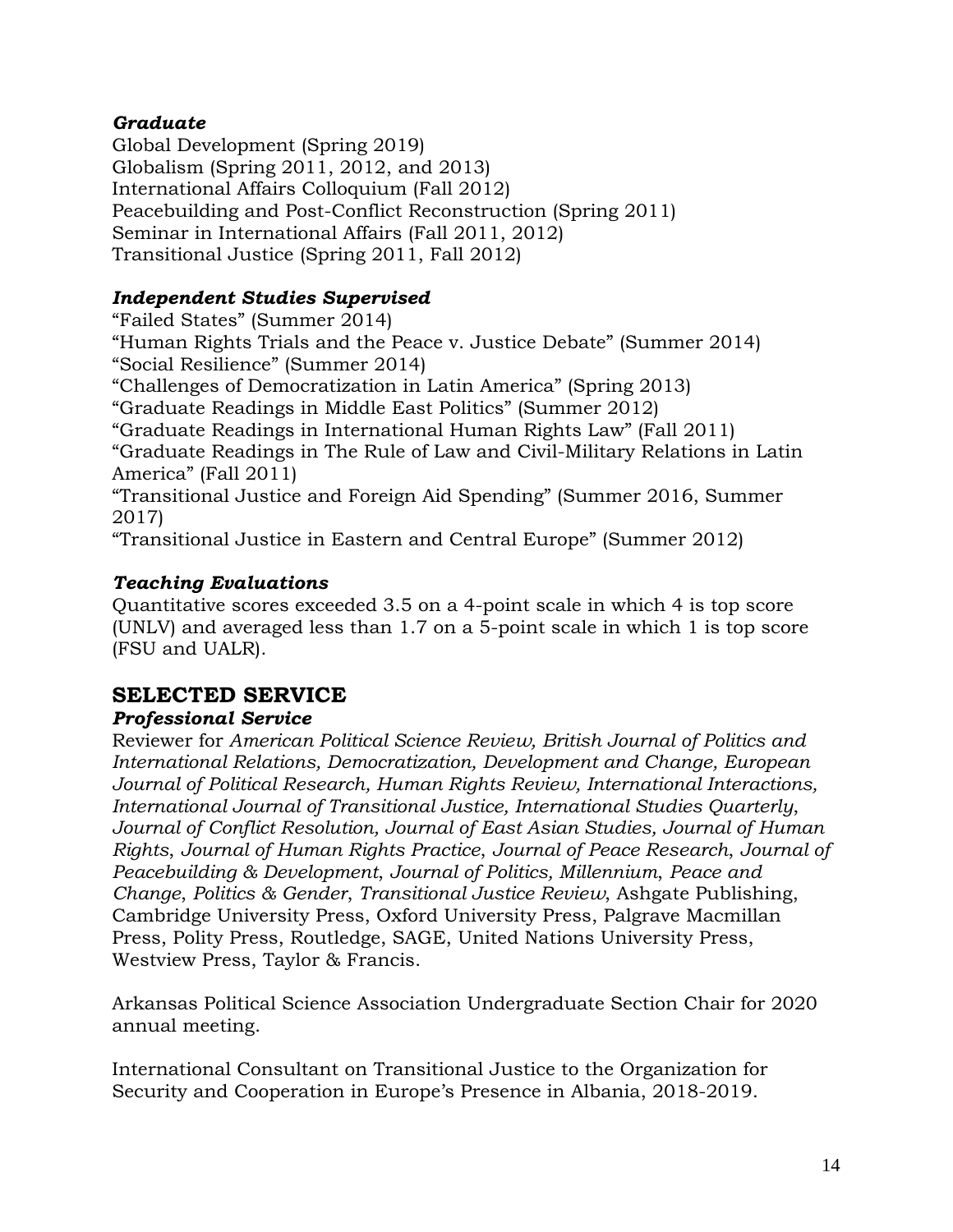### *Graduate*

Global Development (Spring 2019) Globalism (Spring 2011, 2012, and 2013) International Affairs Colloquium (Fall 2012) Peacebuilding and Post-Conflict Reconstruction (Spring 2011) Seminar in International Affairs (Fall 2011, 2012) Transitional Justice (Spring 2011, Fall 2012)

### *Independent Studies Supervised*

"Failed States" (Summer 2014) "Human Rights Trials and the Peace v. Justice Debate" (Summer 2014) "Social Resilience" (Summer 2014) "Challenges of Democratization in Latin America" (Spring 2013) "Graduate Readings in Middle East Politics" (Summer 2012) "Graduate Readings in International Human Rights Law" (Fall 2011) "Graduate Readings in The Rule of Law and Civil-Military Relations in Latin America" (Fall 2011) "Transitional Justice and Foreign Aid Spending" (Summer 2016, Summer 2017) "Transitional Justice in Eastern and Central Europe" (Summer 2012)

### *Teaching Evaluations*

Quantitative scores exceeded 3.5 on a 4-point scale in which 4 is top score (UNLV) and averaged less than 1.7 on a 5-point scale in which 1 is top score (FSU and UALR).

# **SELECTED SERVICE**

### *Professional Service*

Reviewer for *American Political Science Review, British Journal of Politics and International Relations, Democratization, Development and Change, European Journal of Political Research, Human Rights Review, International Interactions, International Journal of Transitional Justice, International Studies Quarterly*, *Journal of Conflict Resolution, Journal of East Asian Studies, Journal of Human Rights*, *Journal of Human Rights Practice*, *Journal of Peace Research*, *Journal of Peacebuilding & Development*, *Journal of Politics, Millennium*, *Peace and Change*, *Politics & Gender*, *Transitional Justice Review*, Ashgate Publishing, Cambridge University Press, Oxford University Press, Palgrave Macmillan Press, Polity Press, Routledge, SAGE, United Nations University Press, Westview Press, Taylor & Francis.

Arkansas Political Science Association Undergraduate Section Chair for 2020 annual meeting.

International Consultant on Transitional Justice to the Organization for Security and Cooperation in Europe's Presence in Albania, 2018-2019.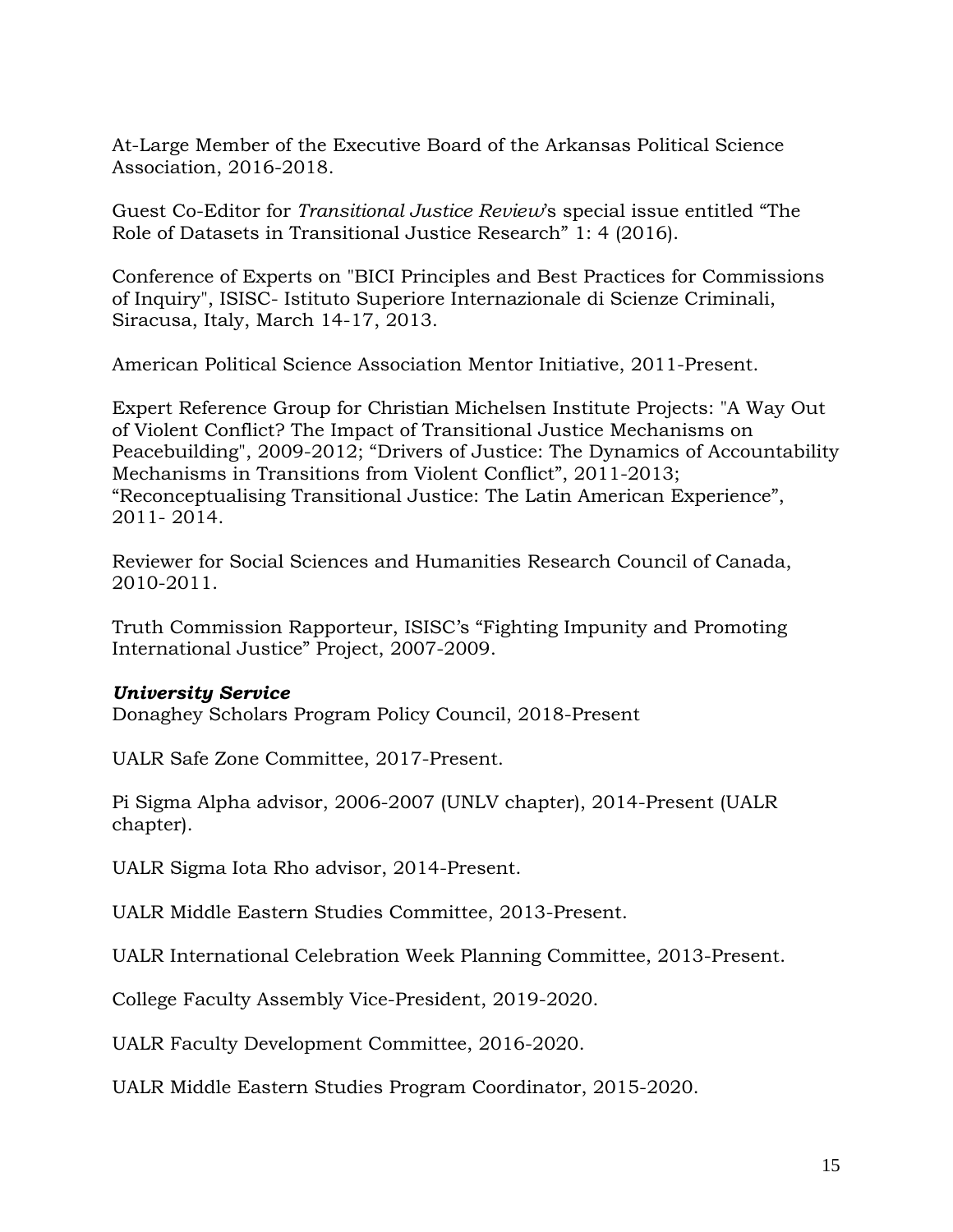At-Large Member of the Executive Board of the Arkansas Political Science Association, 2016-2018.

Guest Co-Editor for *Transitional Justice Review*'s special issue entitled "The Role of Datasets in Transitional Justice Research" 1: 4 (2016).

Conference of Experts on "BICI Principles and Best Practices for Commissions of Inquiry", ISISC- Istituto Superiore Internazionale di Scienze Criminali, Siracusa, Italy, March 14-17, 2013.

American Political Science Association Mentor Initiative, 2011-Present.

Expert Reference Group for Christian Michelsen Institute Projects: "A Way Out of Violent Conflict? The Impact of Transitional Justice Mechanisms on Peacebuilding", 2009-2012; "Drivers of Justice: The Dynamics of Accountability Mechanisms in Transitions from Violent Conflict", 2011-2013; "Reconceptualising Transitional Justice: The Latin American Experience", 2011- 2014.

Reviewer for Social Sciences and Humanities Research Council of Canada, 2010-2011.

Truth Commission Rapporteur, ISISC's "Fighting Impunity and Promoting International Justice" Project, 2007-2009.

#### *University Service*

Donaghey Scholars Program Policy Council, 2018-Present

UALR Safe Zone Committee, 2017-Present.

Pi Sigma Alpha advisor, 2006-2007 (UNLV chapter), 2014-Present (UALR chapter).

UALR Sigma Iota Rho advisor, 2014-Present.

UALR Middle Eastern Studies Committee, 2013-Present.

UALR International Celebration Week Planning Committee, 2013-Present.

College Faculty Assembly Vice-President, 2019-2020.

UALR Faculty Development Committee, 2016-2020.

UALR Middle Eastern Studies Program Coordinator, 2015-2020.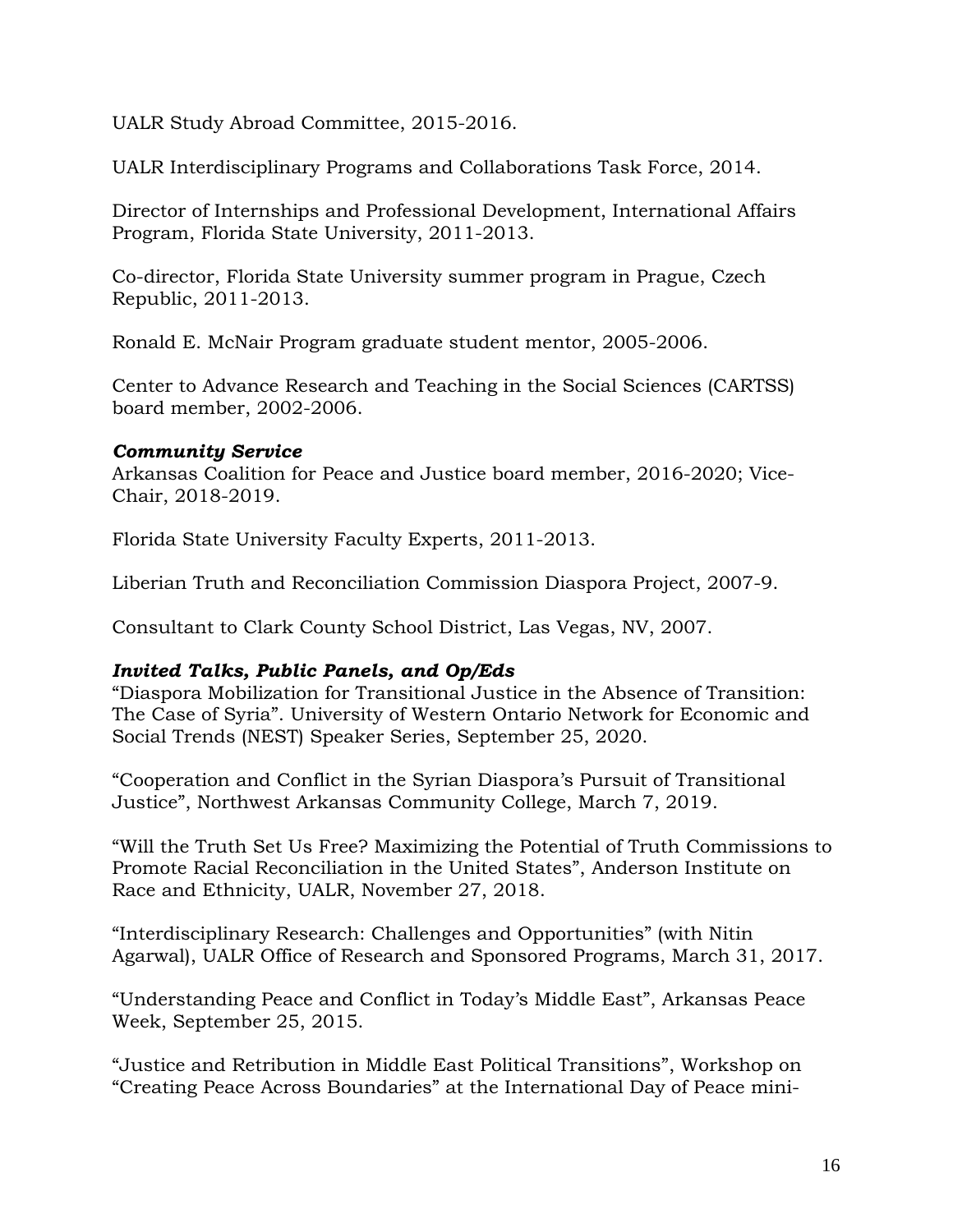UALR Study Abroad Committee, 2015-2016.

UALR Interdisciplinary Programs and Collaborations Task Force, 2014.

Director of Internships and Professional Development, International Affairs Program, Florida State University, 2011-2013.

Co-director, Florida State University summer program in Prague, Czech Republic, 2011-2013.

Ronald E. McNair Program graduate student mentor, 2005-2006.

Center to Advance Research and Teaching in the Social Sciences (CARTSS) board member, 2002-2006.

#### *Community Service*

Arkansas Coalition for Peace and Justice board member, 2016-2020; Vice-Chair, 2018-2019.

Florida State University Faculty Experts, 2011-2013.

Liberian Truth and Reconciliation Commission Diaspora Project, 2007-9.

Consultant to Clark County School District, Las Vegas, NV, 2007.

### *Invited Talks, Public Panels, and Op/Eds*

"Diaspora Mobilization for Transitional Justice in the Absence of Transition: The Case of Syria". University of Western Ontario Network for Economic and Social Trends (NEST) Speaker Series, September 25, 2020.

"Cooperation and Conflict in the Syrian Diaspora's Pursuit of Transitional Justice", Northwest Arkansas Community College, March 7, 2019.

"Will the Truth Set Us Free? Maximizing the Potential of Truth Commissions to Promote Racial Reconciliation in the United States", Anderson Institute on Race and Ethnicity, UALR, November 27, 2018.

"Interdisciplinary Research: Challenges and Opportunities" (with Nitin Agarwal), UALR Office of Research and Sponsored Programs, March 31, 2017.

"Understanding Peace and Conflict in Today's Middle East", Arkansas Peace Week, September 25, 2015.

"Justice and Retribution in Middle East Political Transitions", Workshop on "Creating Peace Across Boundaries" at the International Day of Peace mini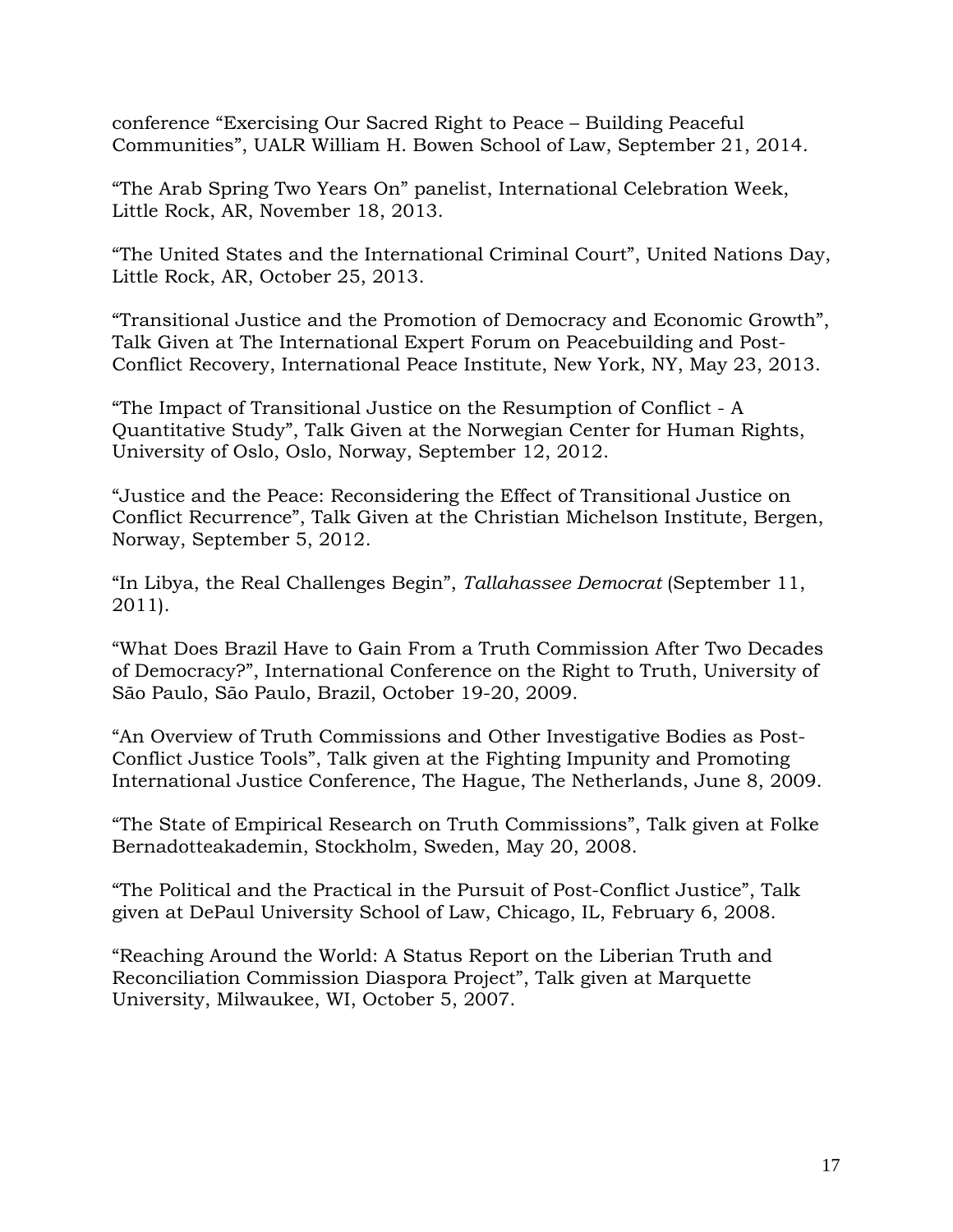conference "Exercising Our Sacred Right to Peace – Building Peaceful Communities", UALR William H. Bowen School of Law, September 21, 2014.

"The Arab Spring Two Years On" panelist, International Celebration Week, Little Rock, AR, November 18, 2013.

"The United States and the International Criminal Court", United Nations Day, Little Rock, AR, October 25, 2013.

"Transitional Justice and the Promotion of Democracy and Economic Growth", Talk Given at The International Expert Forum on Peacebuilding and Post-Conflict Recovery, International Peace Institute, New York, NY, May 23, 2013.

"The Impact of Transitional Justice on the Resumption of Conflict - A Quantitative Study", Talk Given at the Norwegian Center for Human Rights, University of Oslo, Oslo, Norway, September 12, 2012.

"Justice and the Peace: Reconsidering the Effect of Transitional Justice on Conflict Recurrence", Talk Given at the Christian Michelson Institute, Bergen, Norway, September 5, 2012.

"In Libya, the Real Challenges Begin", *Tallahassee Democrat* (September 11, 2011).

"What Does Brazil Have to Gain From a Truth Commission After Two Decades of Democracy?", International Conference on the Right to Truth, University of São Paulo, São Paulo, Brazil, October 19-20, 2009.

"An Overview of Truth Commissions and Other Investigative Bodies as Post-Conflict Justice Tools", Talk given at the Fighting Impunity and Promoting International Justice Conference, The Hague, The Netherlands, June 8, 2009.

"The State of Empirical Research on Truth Commissions", Talk given at Folke Bernadotteakademin, Stockholm, Sweden, May 20, 2008.

"The Political and the Practical in the Pursuit of Post-Conflict Justice", Talk given at DePaul University School of Law, Chicago, IL, February 6, 2008.

"Reaching Around the World: A Status Report on the Liberian Truth and Reconciliation Commission Diaspora Project", Talk given at Marquette University, Milwaukee, WI, October 5, 2007.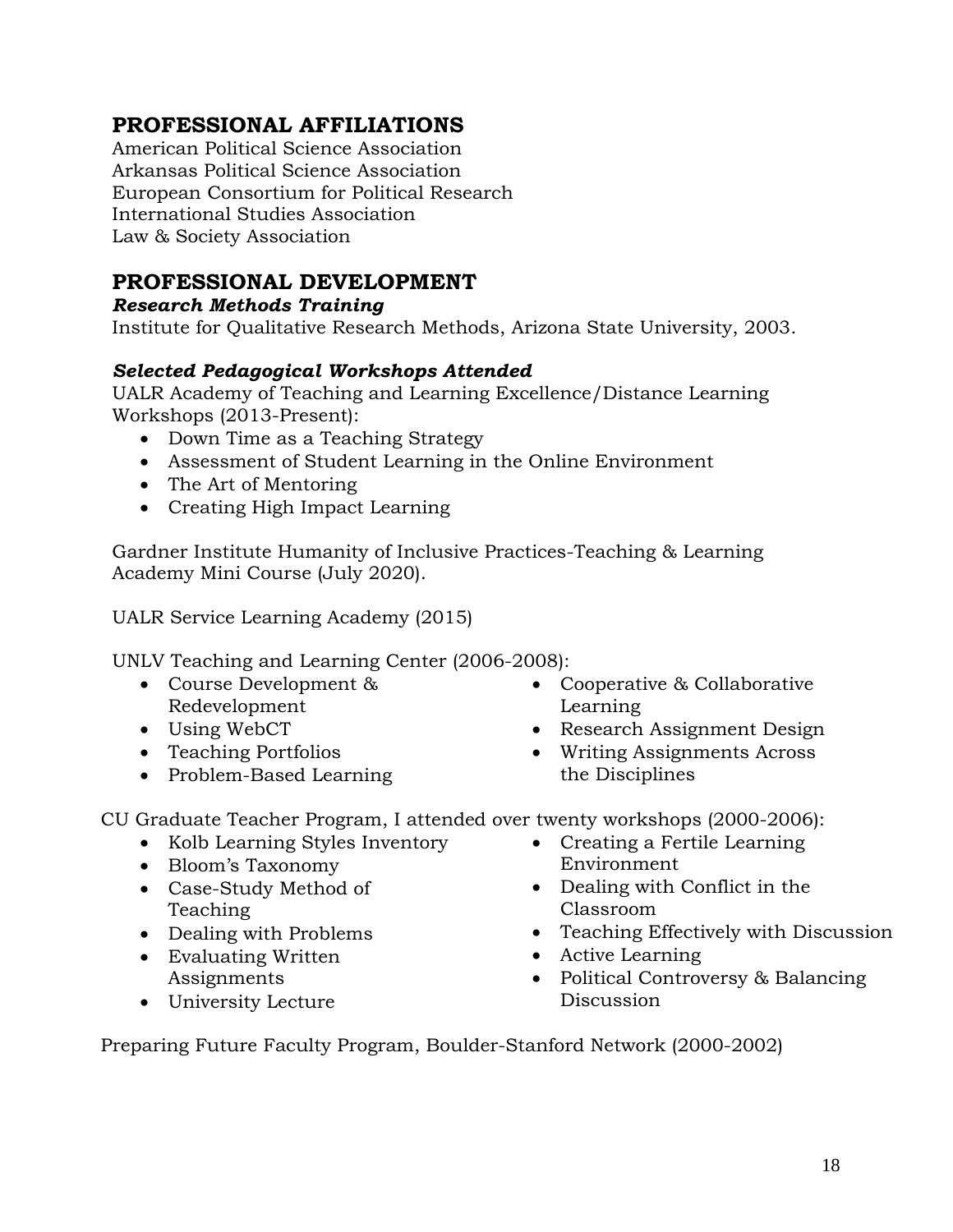# **PROFESSIONAL AFFILIATIONS**

American Political Science Association Arkansas Political Science Association European Consortium for Political Research International Studies Association Law & Society Association

## **PROFESSIONAL DEVELOPMENT**

*Research Methods Training*

Institute for Qualitative Research Methods, Arizona State University, 2003.

### *Selected Pedagogical Workshops Attended*

UALR Academy of Teaching and Learning Excellence/Distance Learning Workshops (2013-Present):

- Down Time as a Teaching Strategy
- Assessment of Student Learning in the Online Environment
- The Art of Mentoring
- Creating High Impact Learning

Gardner Institute Humanity of Inclusive Practices-Teaching & Learning Academy Mini Course (July 2020).

UALR Service Learning Academy (2015)

UNLV Teaching and Learning Center (2006-2008):

- Course Development & Redevelopment
- Using WebCT
- Teaching Portfolios
- Problem-Based Learning
- Cooperative & Collaborative Learning
- Research Assignment Design
- the Disciplines

CU Graduate Teacher Program, I attended over twenty workshops (2000-2006):

- Kolb Learning Styles Inventory
- Bloom's Taxonomy
- Case-Study Method of Teaching
- Dealing with Problems
- Evaluating Written Assignments
- University Lecture
- Writing Assignments Across
- Creating a Fertile Learning Environment
- Dealing with Conflict in the Classroom
- Teaching Effectively with Discussion
- Active Learning
- Political Controversy & Balancing Discussion

Preparing Future Faculty Program, Boulder-Stanford Network (2000-2002)